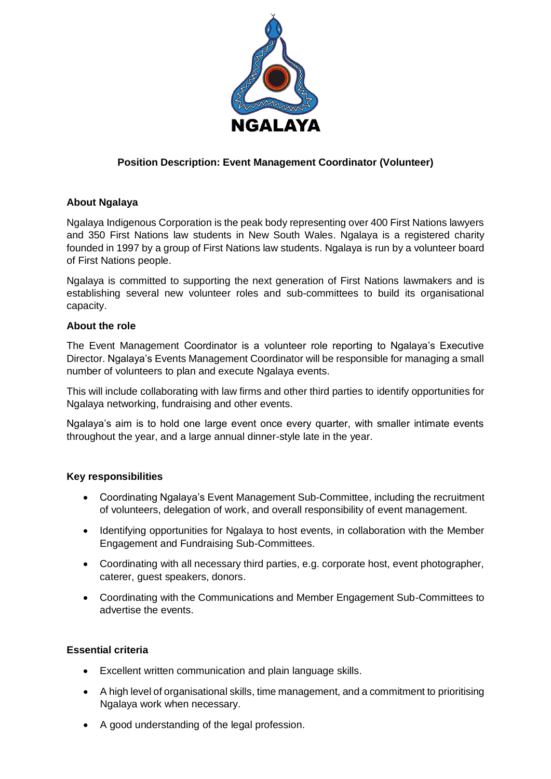

# **Position Description: Event Management Coordinator (Volunteer)**

## **About Ngalaya**

Ngalaya Indigenous Corporation is the peak body representing over 400 First Nations lawyers and 350 First Nations law students in New South Wales. Ngalaya is a registered charity founded in 1997 by a group of First Nations law students. Ngalaya is run by a volunteer board of First Nations people.

Ngalaya is committed to supporting the next generation of First Nations lawmakers and is establishing several new volunteer roles and sub-committees to build its organisational capacity.

### **About the role**

The Event Management Coordinator is a volunteer role reporting to Ngalaya's Executive Director. Ngalaya's Events Management Coordinator will be responsible for managing a small number of volunteers to plan and execute Ngalaya events.

This will include collaborating with law firms and other third parties to identify opportunities for Ngalaya networking, fundraising and other events.

Ngalaya's aim is to hold one large event once every quarter, with smaller intimate events throughout the year, and a large annual dinner-style late in the year.

### **Key responsibilities**

- Coordinating Ngalaya's Event Management Sub-Committee, including the recruitment of volunteers, delegation of work, and overall responsibility of event management.
- Identifying opportunities for Ngalaya to host events, in collaboration with the Member Engagement and Fundraising Sub-Committees.
- Coordinating with all necessary third parties, e.g. corporate host, event photographer, caterer, guest speakers, donors.
- Coordinating with the Communications and Member Engagement Sub-Committees to advertise the events.

### **Essential criteria**

- Excellent written communication and plain language skills.
- A high level of organisational skills, time management, and a commitment to prioritising Ngalaya work when necessary.
- A good understanding of the legal profession.